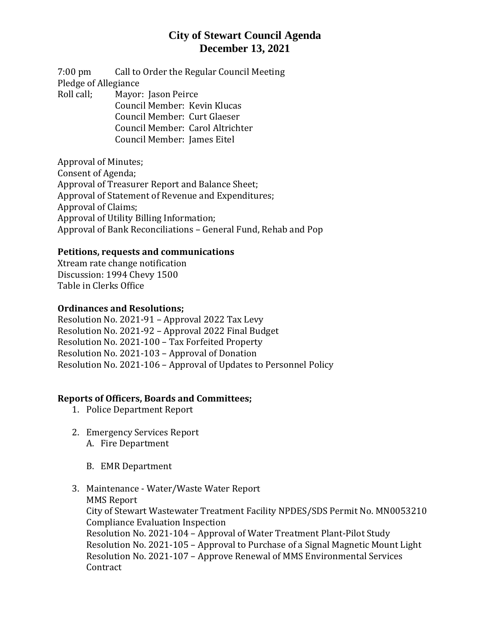# **City of Stewart Council Agenda December 13, 2021**

7:00 pm Call to Order the Regular Council Meeting Pledge of Allegiance Roll call; Mayor: Jason Peirce Council Member: Kevin Klucas

Council Member: Curt Glaeser

Council Member: Carol Altrichter

Council Member: James Eitel

Approval of Minutes; Consent of Agenda; Approval of Treasurer Report and Balance Sheet; Approval of Statement of Revenue and Expenditures; Approval of Claims; Approval of Utility Billing Information; Approval of Bank Reconciliations – General Fund, Rehab and Pop

#### **Petitions, requests and communications**

Xtream rate change notification Discussion: 1994 Chevy 1500 Table in Clerks Office

#### **Ordinances and Resolutions;**

Resolution No. 2021-91 – Approval 2022 Tax Levy Resolution No. 2021-92 – Approval 2022 Final Budget Resolution No. 2021-100 – Tax Forfeited Property Resolution No. 2021-103 – Approval of Donation Resolution No. 2021-106 – Approval of Updates to Personnel Policy

### **Reports of Officers, Boards and Committees;**

- 1. Police Department Report
- 2. Emergency Services Report A. Fire Department
	- B. EMR Department
- 3. Maintenance Water/Waste Water Report MMS Report City of Stewart Wastewater Treatment Facility NPDES/SDS Permit No. MN0053210 Compliance Evaluation Inspection Resolution No. 2021-104 – Approval of Water Treatment Plant-Pilot Study Resolution No. 2021-105 – Approval to Purchase of a Signal Magnetic Mount Light Resolution No. 2021-107 – Approve Renewal of MMS Environmental Services **Contract**